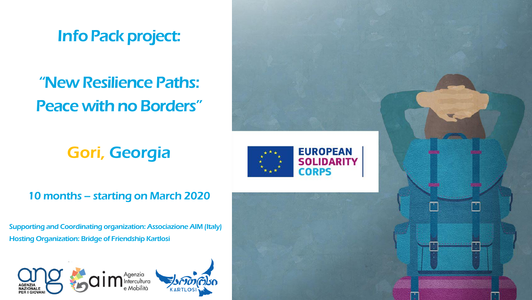InfoPack project:

# "New Resilience Paths: Peace with no Borders"

## Gori, Georgia

## 10 months – starting on March 2020

Supporting and Coordinating organization: Associazione AIM (Italy) Hosting Organization: Bridge of Friendship Kartlosi



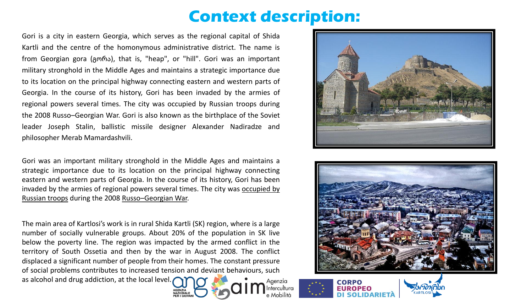## **Context description:**

Gori is a city in eastern Georgia, which serves as the regional capital of Shida Kartli and the centre of the homonymous administrative district. The name is from Georgian gora (გორა), that is, "heap", or "hill". Gori was an important military stronghold in the Middle Ages and maintains a strategic importance due to its location on the principal highway connecting eastern and western parts of Georgia. In the course of its history, Gori has been invaded by the armies of regional powers several times. The city was occupied by Russian troops during the 2008 Russo–Georgian War. Gori is also known as the birthplace of the Soviet leader Joseph Stalin, ballistic missile designer Alexander Nadiradze and philosopher Merab Mamardashvili.

Gori was an important military stronghold in the Middle Ages and maintains a strategic importance due to its location on the principal highway connecting eastern and western parts of Georgia. In the course of its history, Gori has been invaded by the armies of regional powers several times. The city was occupied by Russian troops during the 2008 Russo–[Georgian](https://en.wikipedia.org/wiki/Occupation_of_Gori) War.

The main area of Kartlosi's work is in rural Shida Kartli (SK) region, where is a large number of socially vulnerable groups. About 20% of the population in SK live below the poverty line. The region was impacted by the armed conflict in the territory of South Ossetia and then by the war in August 2008. The conflict displaced a significant number of people from their homes. The constant pressure of social problems contributes to increased tension and deviant behaviours, such as alcohol and drug addiction, at the local level. Agenzia ntercultura

AGENZIA<br>NAZIONAL







Mobilità

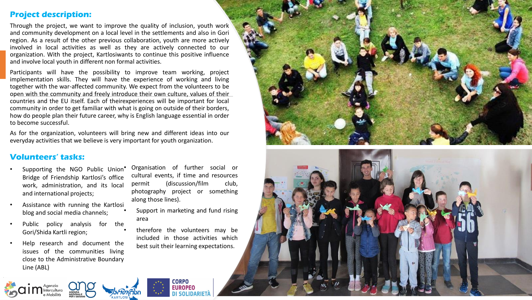#### **Project description:**

Through the project, we want to improve the quality of inclusion, youth work and community development on a local level in the settlements and also in Gori region. As a result of the other previous collaboration, youth are more actively involved in local activities as well as they are actively connected to our organization. With the project, Kartlosiwants to continue this positive influence and involve local youth in different non formal activities.

Participants will have the possibility to improve team working, project implementation skills. They will have the experience of working and living together with the war-affected community. We expect from the volunteers to be open with the community and freely introduce their own culture, values of their countries and the EU itself. Each of theirexperiences will be important for local community in order to get familiar with what is going on outside of their borders, how do people plan their future career, why is English language essential in order to become successful.

As for the organization, volunteers will bring new and different ideas into our everyday activities that we believe is very important for youth organization.

#### **Volunteers' tasks:**

- Supporting the NGO Public Union<sup>\*</sup> Bridge of Friendship Kartlosi's office work, administration, and its local and international projects;
- Assistance with running the Kartlosi blog and social media channels;
- Public policy analysis for the Gori/Shida Kartli region;
- Help research and document the issues of the communities living close to the Administrative Boundary Line (ABL)

• Organisation of further social or cultural events, if time and resources permit (discussion/film club, photography project or something along those lines).

- Support in marketing and fund rising area
- therefore the volunteers may be included in those activities which best suit their learning expectations.

**CORPO EUROPEO DI SOLIDARIE** 



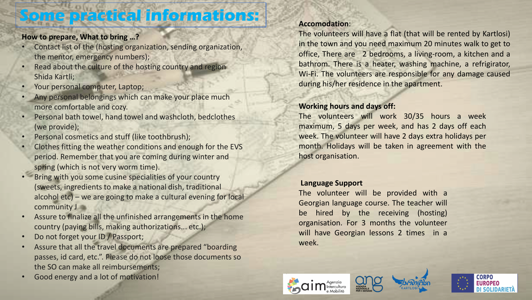## **Some practical informations:**

#### **How to prepare, What to bring …?**

- Contact list of the (hosting organization, sending organization, the mentor, emergency numbers);
- Read about the culture of the hosting country and region Shida Kartli;
- Your personal computer, Laptop;
- Any personal belongings which can make your place much more comfortable and cozy.
- Personal bath towel, hand towel and washcloth, bedclothes (we provide);
- Personal cosmetics and stuff (like toothbrush);
- Clothes fitting the weather conditions and enough for the EVS period. Remember that you are coming during winter and spring (which is not very worm time).
- Bring with you some cusine specialities of your country (sweets, ingredients to make a national dish, traditional alcohol etc) – we are going to make a cultural evening for local community J
- Assure to finalize all the unfinished arrangements in the home country (paying bills, making authorizations... etc.);
- Do not forget your ID / Passport;
- Assure that all the travel documents are prepared "boarding passes, id card, etc.". Please do not loose those documents so the SO can make all reimbursements;
- Good energy and a lot of motivation!

#### **Accomodation**:

The volunteers will have a flat (that will be rented by Kartlosi) in the town and you need maximum 20 minutes walk to get to office, There are 2 bedrooms, a living-room, a kitchen and a bathrom. There is a heater, washing machine, a refrigirator, Wi-Fi. The volunteers are responsible for any damage caused during his/her residence in the apartment.

#### **Working hours and days off:**

The volunteers will work 30/35 hours a week maximum, 5 days per week, and has 2 days off each week. The volunteer will have 2 days extra holidays per month. Holidays will be taken in agreement with the host organisation.

#### **Language Support**

The volunteer will be provided with a Georgian language course. The teacher will be hired by the receiving (hosting) organisation. For 3 months the volunteer will have Georgian lessons 2 times in a week.